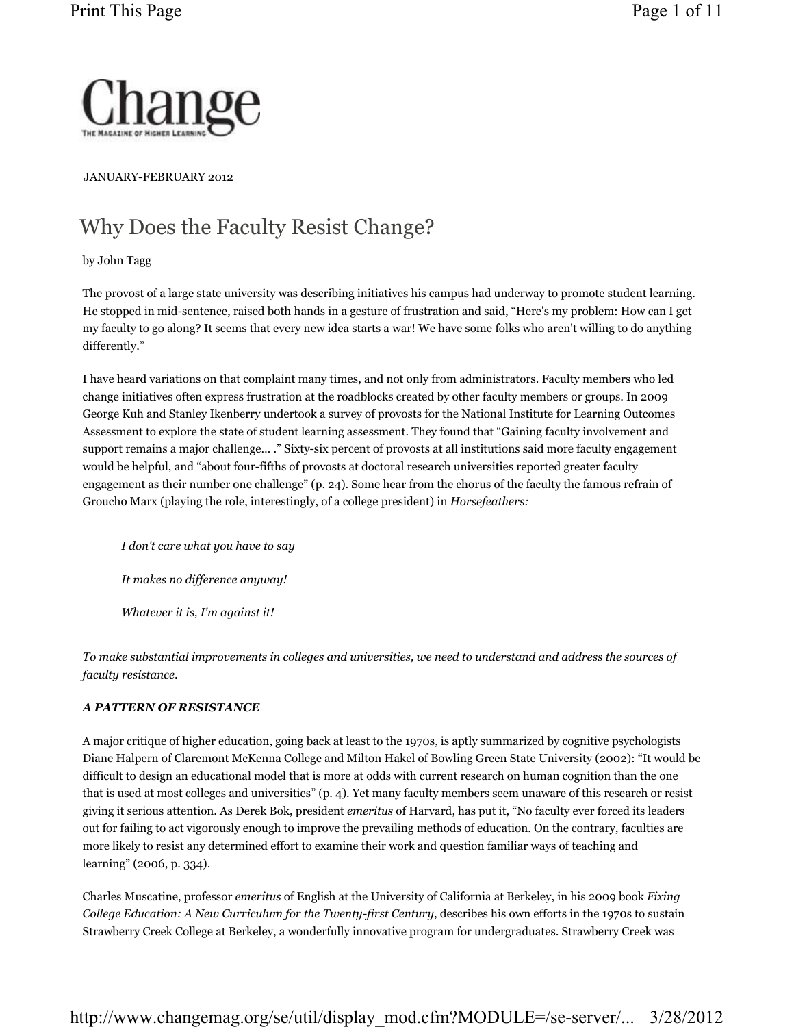

# JANUARY-FEBRUARY 2012

# Why Does the Faculty Resist Change?

# by John Tagg

The provost of a large state university was describing initiatives his campus had underway to promote student learning. He stopped in mid-sentence, raised both hands in a gesture of frustration and said, "Here's my problem: How can I get my faculty to go along? It seems that every new idea starts a war! We have some folks who aren't willing to do anything differently."

I have heard variations on that complaint many times, and not only from administrators. Faculty members who led change initiatives often express frustration at the roadblocks created by other faculty members or groups. In 2009 George Kuh and Stanley Ikenberry undertook a survey of provosts for the National Institute for Learning Outcomes Assessment to explore the state of student learning assessment. They found that "Gaining faculty involvement and support remains a major challenge… ." Sixty-six percent of provosts at all institutions said more faculty engagement would be helpful, and "about four-fifths of provosts at doctoral research universities reported greater faculty engagement as their number one challenge" (p. 24). Some hear from the chorus of the faculty the famous refrain of Groucho Marx (playing the role, interestingly, of a college president) in *Horsefeathers:*

*I don't care what you have to say It makes no difference anyway! Whatever it is, I'm against it!*

*To make substantial improvements in colleges and universities, we need to understand and address the sources of faculty resistance*.

# *A PATTERN OF RESISTANCE*

A major critique of higher education, going back at least to the 1970s, is aptly summarized by cognitive psychologists Diane Halpern of Claremont McKenna College and Milton Hakel of Bowling Green State University (2002): "It would be difficult to design an educational model that is more at odds with current research on human cognition than the one that is used at most colleges and universities" (p. 4). Yet many faculty members seem unaware of this research or resist giving it serious attention. As Derek Bok, president *emeritus* of Harvard, has put it, "No faculty ever forced its leaders out for failing to act vigorously enough to improve the prevailing methods of education. On the contrary, faculties are more likely to resist any determined effort to examine their work and question familiar ways of teaching and learning" (2006, p. 334).

Charles Muscatine, professor *emeritus* of English at the University of California at Berkeley, in his 2009 book *Fixing College Education: A New Curriculum for the Twenty-first Century*, describes his own efforts in the 1970s to sustain Strawberry Creek College at Berkeley, a wonderfully innovative program for undergraduates. Strawberry Creek was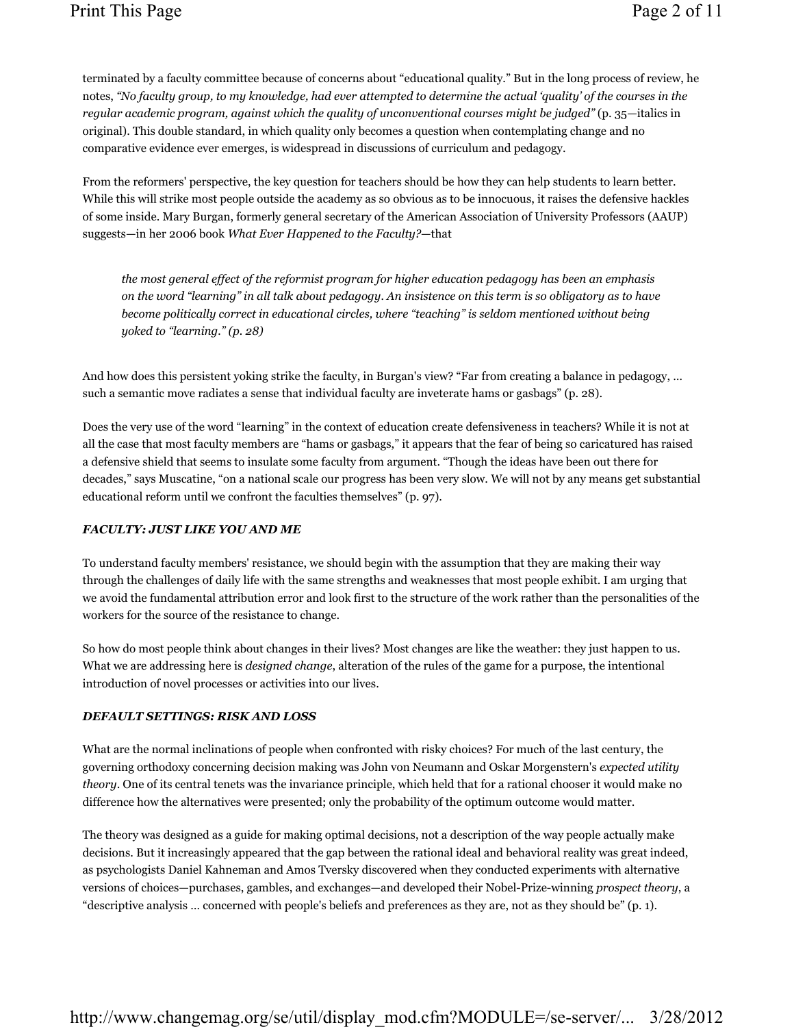terminated by a faculty committee because of concerns about "educational quality." But in the long process of review, he notes, *"No faculty group, to my knowledge, had ever attempted to determine the actual 'quality' of the courses in the regular academic program, against which the quality of unconventional courses might be judged"* (p. 35—italics in original). This double standard, in which quality only becomes a question when contemplating change and no comparative evidence ever emerges, is widespread in discussions of curriculum and pedagogy.

From the reformers' perspective, the key question for teachers should be how they can help students to learn better. While this will strike most people outside the academy as so obvious as to be innocuous, it raises the defensive hackles of some inside. Mary Burgan, formerly general secretary of the American Association of University Professors (AAUP) suggests—in her 2006 book *What Ever Happened to the Faculty?*—that

*the most general effect of the reformist program for higher education pedagogy has been an emphasis on the word "learning" in all talk about pedagogy. An insistence on this term is so obligatory as to have become politically correct in educational circles, where "teaching" is seldom mentioned without being yoked to "learning." (p. 28)*

And how does this persistent yoking strike the faculty, in Burgan's view? "Far from creating a balance in pedagogy, … such a semantic move radiates a sense that individual faculty are inveterate hams or gasbags" (p. 28).

Does the very use of the word "learning" in the context of education create defensiveness in teachers? While it is not at all the case that most faculty members are "hams or gasbags," it appears that the fear of being so caricatured has raised a defensive shield that seems to insulate some faculty from argument. "Though the ideas have been out there for decades," says Muscatine, "on a national scale our progress has been very slow. We will not by any means get substantial educational reform until we confront the faculties themselves" (p. 97).

# *FACULTY: JUST LIKE YOU AND ME*

To understand faculty members' resistance, we should begin with the assumption that they are making their way through the challenges of daily life with the same strengths and weaknesses that most people exhibit. I am urging that we avoid the fundamental attribution error and look first to the structure of the work rather than the personalities of the workers for the source of the resistance to change.

So how do most people think about changes in their lives? Most changes are like the weather: they just happen to us. What we are addressing here is *designed change*, alteration of the rules of the game for a purpose, the intentional introduction of novel processes or activities into our lives.

#### *DEFAULT SETTINGS: RISK AND LOSS*

What are the normal inclinations of people when confronted with risky choices? For much of the last century, the governing orthodoxy concerning decision making was John von Neumann and Oskar Morgenstern's *expected utility theory*. One of its central tenets was the invariance principle, which held that for a rational chooser it would make no difference how the alternatives were presented; only the probability of the optimum outcome would matter.

The theory was designed as a guide for making optimal decisions, not a description of the way people actually make decisions. But it increasingly appeared that the gap between the rational ideal and behavioral reality was great indeed, as psychologists Daniel Kahneman and Amos Tversky discovered when they conducted experiments with alternative versions of choices—purchases, gambles, and exchanges—and developed their Nobel-Prize-winning *prospect theory*, a "descriptive analysis … concerned with people's beliefs and preferences as they are, not as they should be" (p. 1).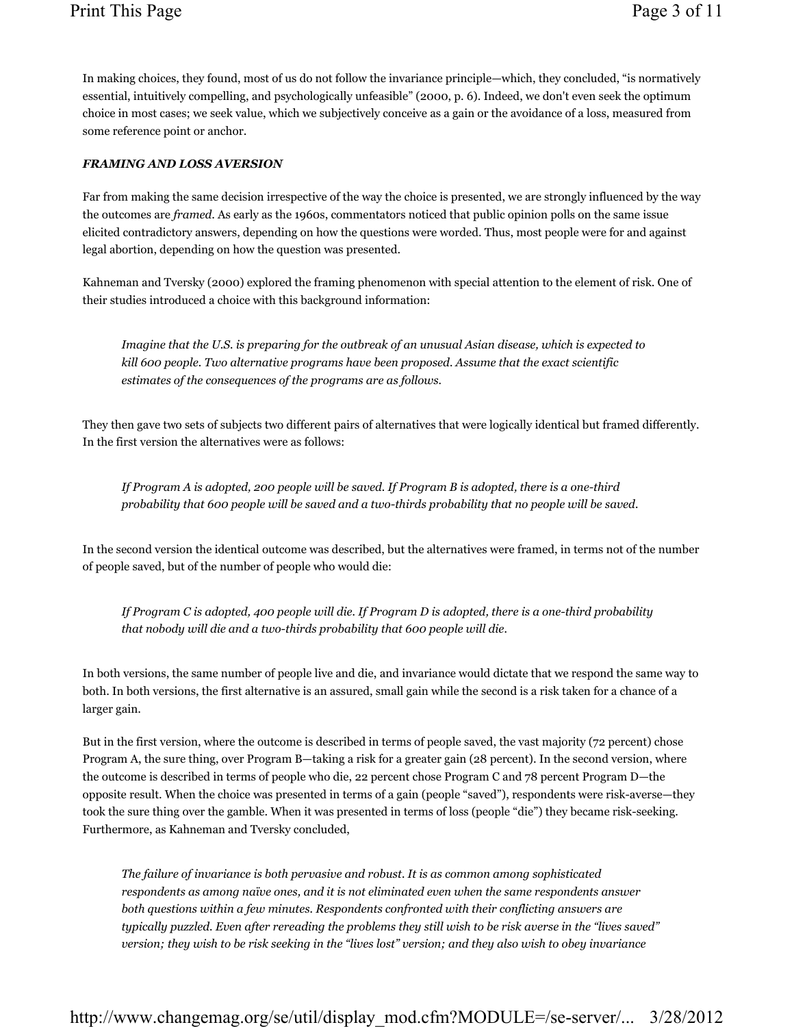In making choices, they found, most of us do not follow the invariance principle—which, they concluded, "is normatively essential, intuitively compelling, and psychologically unfeasible" (2000, p. 6). Indeed, we don't even seek the optimum choice in most cases; we seek value, which we subjectively conceive as a gain or the avoidance of a loss, measured from some reference point or anchor.

# *FRAMING AND LOSS AVERSION*

Far from making the same decision irrespective of the way the choice is presented, we are strongly influenced by the way the outcomes are *framed*. As early as the 1960s, commentators noticed that public opinion polls on the same issue elicited contradictory answers, depending on how the questions were worded. Thus, most people were for and against legal abortion, depending on how the question was presented.

Kahneman and Tversky (2000) explored the framing phenomenon with special attention to the element of risk. One of their studies introduced a choice with this background information:

*Imagine that the U.S. is preparing for the outbreak of an unusual Asian disease, which is expected to kill 600 people. Two alternative programs have been proposed. Assume that the exact scientific estimates of the consequences of the programs are as follows.*

They then gave two sets of subjects two different pairs of alternatives that were logically identical but framed differently. In the first version the alternatives were as follows:

*If Program A is adopted, 200 people will be saved. If Program B is adopted, there is a one-third probability that 600 people will be saved and a two-thirds probability that no people will be saved.*

In the second version the identical outcome was described, but the alternatives were framed, in terms not of the number of people saved, but of the number of people who would die:

*If Program C is adopted, 400 people will die. If Program D is adopted, there is a one-third probability that nobody will die and a two-thirds probability that 600 people will die.*

In both versions, the same number of people live and die, and invariance would dictate that we respond the same way to both. In both versions, the first alternative is an assured, small gain while the second is a risk taken for a chance of a larger gain.

But in the first version, where the outcome is described in terms of people saved, the vast majority (72 percent) chose Program A, the sure thing, over Program B—taking a risk for a greater gain (28 percent). In the second version, where the outcome is described in terms of people who die, 22 percent chose Program C and 78 percent Program D—the opposite result. When the choice was presented in terms of a gain (people "saved"), respondents were risk-averse—they took the sure thing over the gamble. When it was presented in terms of loss (people "die") they became risk-seeking. Furthermore, as Kahneman and Tversky concluded,

*The failure of invariance is both pervasive and robust. It is as common among sophisticated respondents as among naïve ones, and it is not eliminated even when the same respondents answer both questions within a few minutes. Respondents confronted with their conflicting answers are typically puzzled. Even after rereading the problems they still wish to be risk averse in the "lives saved" version; they wish to be risk seeking in the "lives lost" version; and they also wish to obey invariance*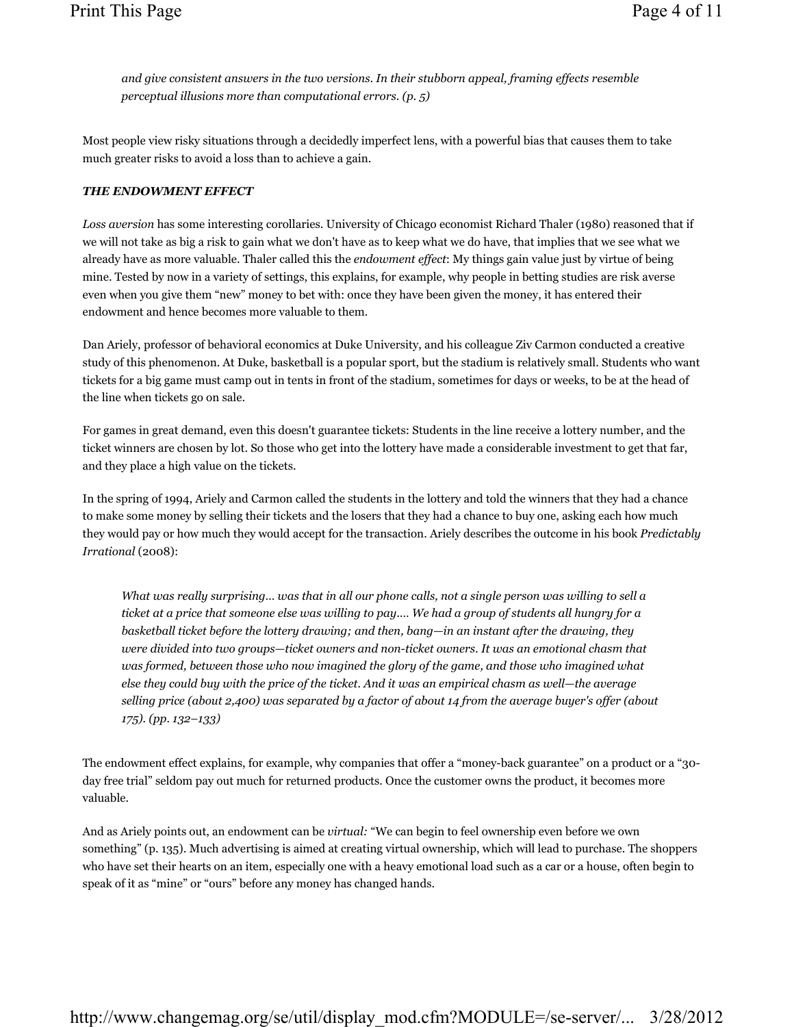*and give consistent answers in the two versions. In their stubborn appeal, framing effects resemble perceptual illusions more than computational errors. (p. 5)*

Most people view risky situations through a decidedly imperfect lens, with a powerful bias that causes them to take much greater risks to avoid a loss than to achieve a gain.

# *THE ENDOWMENT EFFECT*

*Loss aversion* has some interesting corollaries. University of Chicago economist Richard Thaler (1980) reasoned that if we will not take as big a risk to gain what we don't have as to keep what we do have, that implies that we see what we already have as more valuable. Thaler called this the *endowment effect*: My things gain value just by virtue of being mine. Tested by now in a variety of settings, this explains, for example, why people in betting studies are risk averse even when you give them "new" money to bet with: once they have been given the money, it has entered their endowment and hence becomes more valuable to them.

Dan Ariely, professor of behavioral economics at Duke University, and his colleague Ziv Carmon conducted a creative study of this phenomenon. At Duke, basketball is a popular sport, but the stadium is relatively small. Students who want tickets for a big game must camp out in tents in front of the stadium, sometimes for days or weeks, to be at the head of the line when tickets go on sale.

For games in great demand, even this doesn't guarantee tickets: Students in the line receive a lottery number, and the ticket winners are chosen by lot. So those who get into the lottery have made a considerable investment to get that far, and they place a high value on the tickets.

In the spring of 1994, Ariely and Carmon called the students in the lottery and told the winners that they had a chance to make some money by selling their tickets and the losers that they had a chance to buy one, asking each how much they would pay or how much they would accept for the transaction. Ariely describes the outcome in his book *Predictably Irrational* (2008):

*What was really surprising… was that in all our phone calls, not a single person was willing to sell a ticket at a price that someone else was willing to pay.… We had a group of students all hungry for a basketball ticket before the lottery drawing; and then, bang—in an instant after the drawing, they were divided into two groups—ticket owners and non-ticket owners. It was an emotional chasm that was formed, between those who now imagined the glory of the game, and those who imagined what else they could buy with the price of the ticket. And it was an empirical chasm as well—the average selling price (about 2,400) was separated by a factor of about 14 from the average buyer's offer (about 175). (pp. 132–133)*

The endowment effect explains, for example, why companies that offer a "money-back guarantee" on a product or a "30 day free trial" seldom pay out much for returned products. Once the customer owns the product, it becomes more valuable.

And as Ariely points out, an endowment can be *virtual:* "We can begin to feel ownership even before we own something" (p. 135). Much advertising is aimed at creating virtual ownership, which will lead to purchase. The shoppers who have set their hearts on an item, especially one with a heavy emotional load such as a car or a house, often begin to speak of it as "mine" or "ours" before any money has changed hands.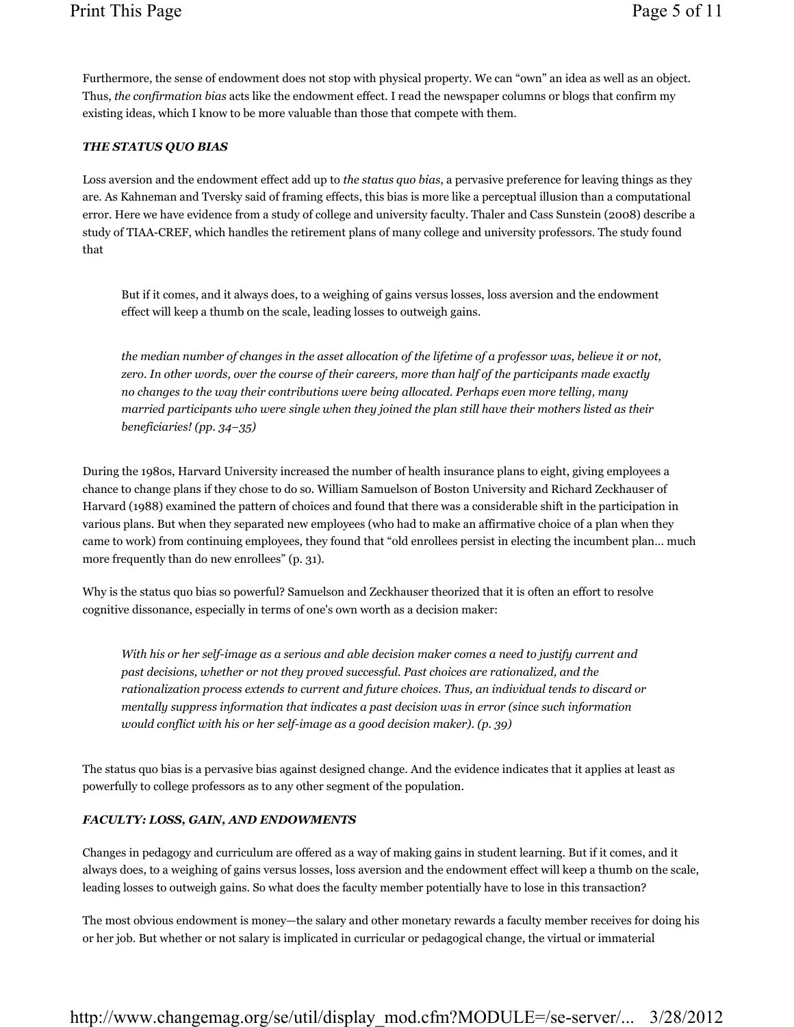Furthermore, the sense of endowment does not stop with physical property. We can "own" an idea as well as an object. Thus, *the confirmation bias* acts like the endowment effect. I read the newspaper columns or blogs that confirm my existing ideas, which I know to be more valuable than those that compete with them.

# *THE STATUS QUO BIAS*

Loss aversion and the endowment effect add up to *the status quo bias*, a pervasive preference for leaving things as they are. As Kahneman and Tversky said of framing effects, this bias is more like a perceptual illusion than a computational error. Here we have evidence from a study of college and university faculty. Thaler and Cass Sunstein (2008) describe a study of TIAA-CREF, which handles the retirement plans of many college and university professors. The study found that

But if it comes, and it always does, to a weighing of gains versus losses, loss aversion and the endowment effect will keep a thumb on the scale, leading losses to outweigh gains.

*the median number of changes in the asset allocation of the lifetime of a professor was, believe it or not, zero. In other words, over the course of their careers, more than half of the participants made exactly no changes to the way their contributions were being allocated. Perhaps even more telling, many married participants who were single when they joined the plan still have their mothers listed as their beneficiaries! (pp. 34–35)*

During the 1980s, Harvard University increased the number of health insurance plans to eight, giving employees a chance to change plans if they chose to do so. William Samuelson of Boston University and Richard Zeckhauser of Harvard (1988) examined the pattern of choices and found that there was a considerable shift in the participation in various plans. But when they separated new employees (who had to make an affirmative choice of a plan when they came to work) from continuing employees, they found that "old enrollees persist in electing the incumbent plan… much more frequently than do new enrollees" (p. 31).

Why is the status quo bias so powerful? Samuelson and Zeckhauser theorized that it is often an effort to resolve cognitive dissonance, especially in terms of one's own worth as a decision maker:

*With his or her self-image as a serious and able decision maker comes a need to justify current and past decisions, whether or not they proved successful. Past choices are rationalized, and the rationalization process extends to current and future choices. Thus, an individual tends to discard or mentally suppress information that indicates a past decision was in error (since such information would conflict with his or her self-image as a good decision maker). (p. 39)*

The status quo bias is a pervasive bias against designed change. And the evidence indicates that it applies at least as powerfully to college professors as to any other segment of the population.

# *FACULTY: LOSS, GAIN, AND ENDOWMENTS*

Changes in pedagogy and curriculum are offered as a way of making gains in student learning. But if it comes, and it always does, to a weighing of gains versus losses, loss aversion and the endowment effect will keep a thumb on the scale, leading losses to outweigh gains. So what does the faculty member potentially have to lose in this transaction?

The most obvious endowment is money—the salary and other monetary rewards a faculty member receives for doing his or her job. But whether or not salary is implicated in curricular or pedagogical change, the virtual or immaterial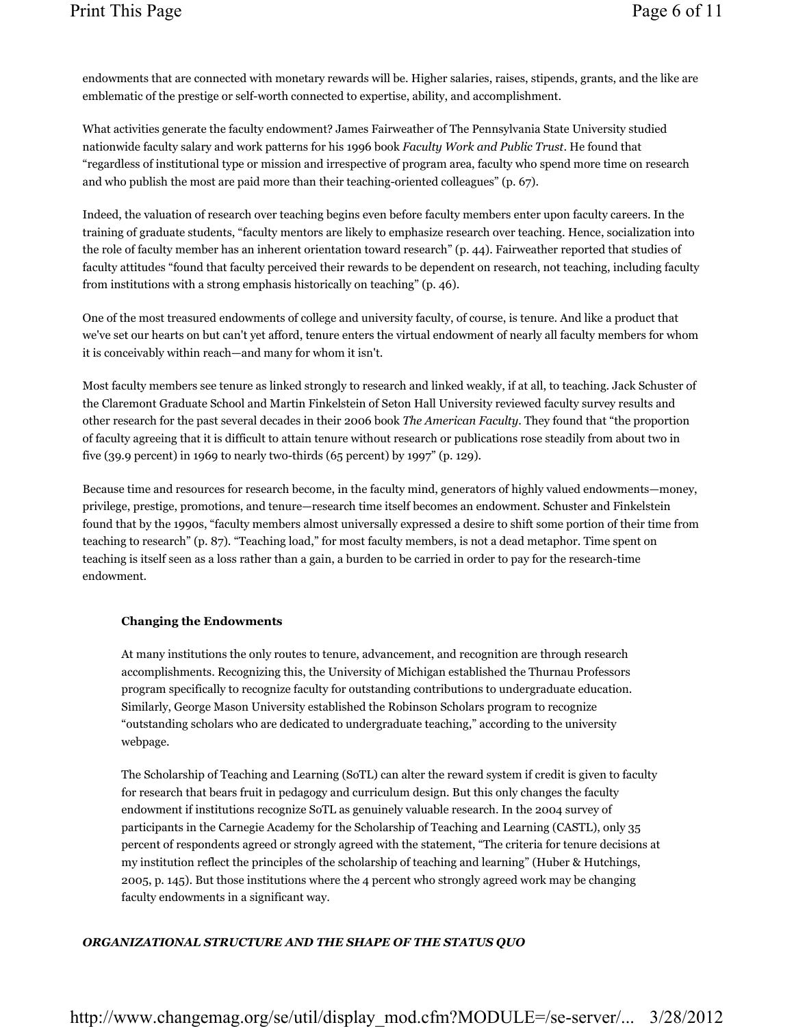endowments that are connected with monetary rewards will be. Higher salaries, raises, stipends, grants, and the like are emblematic of the prestige or self-worth connected to expertise, ability, and accomplishment.

What activities generate the faculty endowment? James Fairweather of The Pennsylvania State University studied nationwide faculty salary and work patterns for his 1996 book *Faculty Work and Public Trust*. He found that "regardless of institutional type or mission and irrespective of program area, faculty who spend more time on research and who publish the most are paid more than their teaching-oriented colleagues" (p. 67).

Indeed, the valuation of research over teaching begins even before faculty members enter upon faculty careers. In the training of graduate students, "faculty mentors are likely to emphasize research over teaching. Hence, socialization into the role of faculty member has an inherent orientation toward research" (p. 44). Fairweather reported that studies of faculty attitudes "found that faculty perceived their rewards to be dependent on research, not teaching, including faculty from institutions with a strong emphasis historically on teaching" (p. 46).

One of the most treasured endowments of college and university faculty, of course, is tenure. And like a product that we've set our hearts on but can't yet afford, tenure enters the virtual endowment of nearly all faculty members for whom it is conceivably within reach—and many for whom it isn't.

Most faculty members see tenure as linked strongly to research and linked weakly, if at all, to teaching. Jack Schuster of the Claremont Graduate School and Martin Finkelstein of Seton Hall University reviewed faculty survey results and other research for the past several decades in their 2006 book *The American Faculty*. They found that "the proportion of faculty agreeing that it is difficult to attain tenure without research or publications rose steadily from about two in five (39.9 percent) in 1969 to nearly two-thirds (65 percent) by 1997" (p. 129).

Because time and resources for research become, in the faculty mind, generators of highly valued endowments—money, privilege, prestige, promotions, and tenure—research time itself becomes an endowment. Schuster and Finkelstein found that by the 1990s, "faculty members almost universally expressed a desire to shift some portion of their time from teaching to research" (p. 87). "Teaching load," for most faculty members, is not a dead metaphor. Time spent on teaching is itself seen as a loss rather than a gain, a burden to be carried in order to pay for the research-time endowment.

# **Changing the Endowments**

At many institutions the only routes to tenure, advancement, and recognition are through research accomplishments. Recognizing this, the University of Michigan established the Thurnau Professors program specifically to recognize faculty for outstanding contributions to undergraduate education. Similarly, George Mason University established the Robinson Scholars program to recognize "outstanding scholars who are dedicated to undergraduate teaching," according to the university webpage.

The Scholarship of Teaching and Learning (SoTL) can alter the reward system if credit is given to faculty for research that bears fruit in pedagogy and curriculum design. But this only changes the faculty endowment if institutions recognize SoTL as genuinely valuable research. In the 2004 survey of participants in the Carnegie Academy for the Scholarship of Teaching and Learning (CASTL), only 35 percent of respondents agreed or strongly agreed with the statement, "The criteria for tenure decisions at my institution reflect the principles of the scholarship of teaching and learning" (Huber & Hutchings, 2005, p. 145). But those institutions where the 4 percent who strongly agreed work may be changing faculty endowments in a significant way.

# *ORGANIZATIONAL STRUCTURE AND THE SHAPE OF THE STATUS QUO*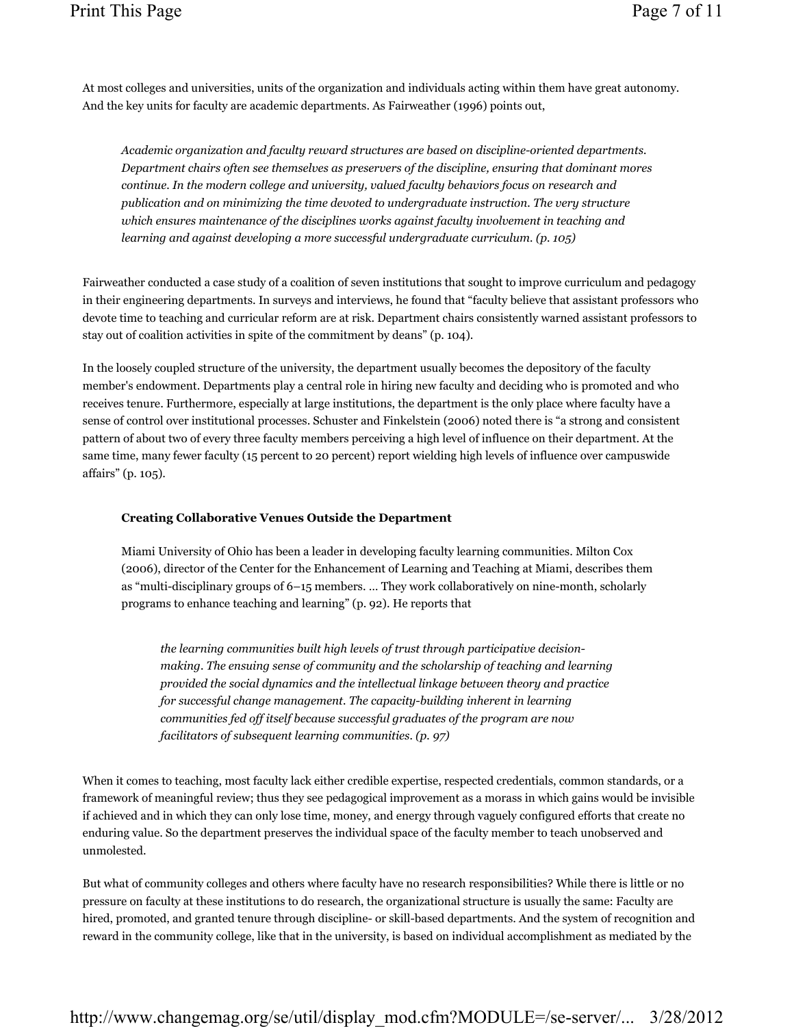At most colleges and universities, units of the organization and individuals acting within them have great autonomy. And the key units for faculty are academic departments. As Fairweather (1996) points out,

*Academic organization and faculty reward structures are based on discipline-oriented departments. Department chairs often see themselves as preservers of the discipline, ensuring that dominant mores continue. In the modern college and university, valued faculty behaviors focus on research and publication and on minimizing the time devoted to undergraduate instruction. The very structure which ensures maintenance of the disciplines works against faculty involvement in teaching and learning and against developing a more successful undergraduate curriculum. (p. 105)*

Fairweather conducted a case study of a coalition of seven institutions that sought to improve curriculum and pedagogy in their engineering departments. In surveys and interviews, he found that "faculty believe that assistant professors who devote time to teaching and curricular reform are at risk. Department chairs consistently warned assistant professors to stay out of coalition activities in spite of the commitment by deans" (p. 104).

In the loosely coupled structure of the university, the department usually becomes the depository of the faculty member's endowment. Departments play a central role in hiring new faculty and deciding who is promoted and who receives tenure. Furthermore, especially at large institutions, the department is the only place where faculty have a sense of control over institutional processes. Schuster and Finkelstein (2006) noted there is "a strong and consistent pattern of about two of every three faculty members perceiving a high level of influence on their department. At the same time, many fewer faculty (15 percent to 20 percent) report wielding high levels of influence over campuswide affairs" (p. 105).

#### **Creating Collaborative Venues Outside the Department**

Miami University of Ohio has been a leader in developing faculty learning communities. Milton Cox (2006), director of the Center for the Enhancement of Learning and Teaching at Miami, describes them as "multi-disciplinary groups of 6–15 members. … They work collaboratively on nine-month, scholarly programs to enhance teaching and learning" (p. 92). He reports that

*the learning communities built high levels of trust through participative decisionmaking. The ensuing sense of community and the scholarship of teaching and learning provided the social dynamics and the intellectual linkage between theory and practice for successful change management. The capacity-building inherent in learning communities fed off itself because successful graduates of the program are now facilitators of subsequent learning communities. (p. 97)*

When it comes to teaching, most faculty lack either credible expertise, respected credentials, common standards, or a framework of meaningful review; thus they see pedagogical improvement as a morass in which gains would be invisible if achieved and in which they can only lose time, money, and energy through vaguely configured efforts that create no enduring value. So the department preserves the individual space of the faculty member to teach unobserved and unmolested.

But what of community colleges and others where faculty have no research responsibilities? While there is little or no pressure on faculty at these institutions to do research, the organizational structure is usually the same: Faculty are hired, promoted, and granted tenure through discipline- or skill-based departments. And the system of recognition and reward in the community college, like that in the university, is based on individual accomplishment as mediated by the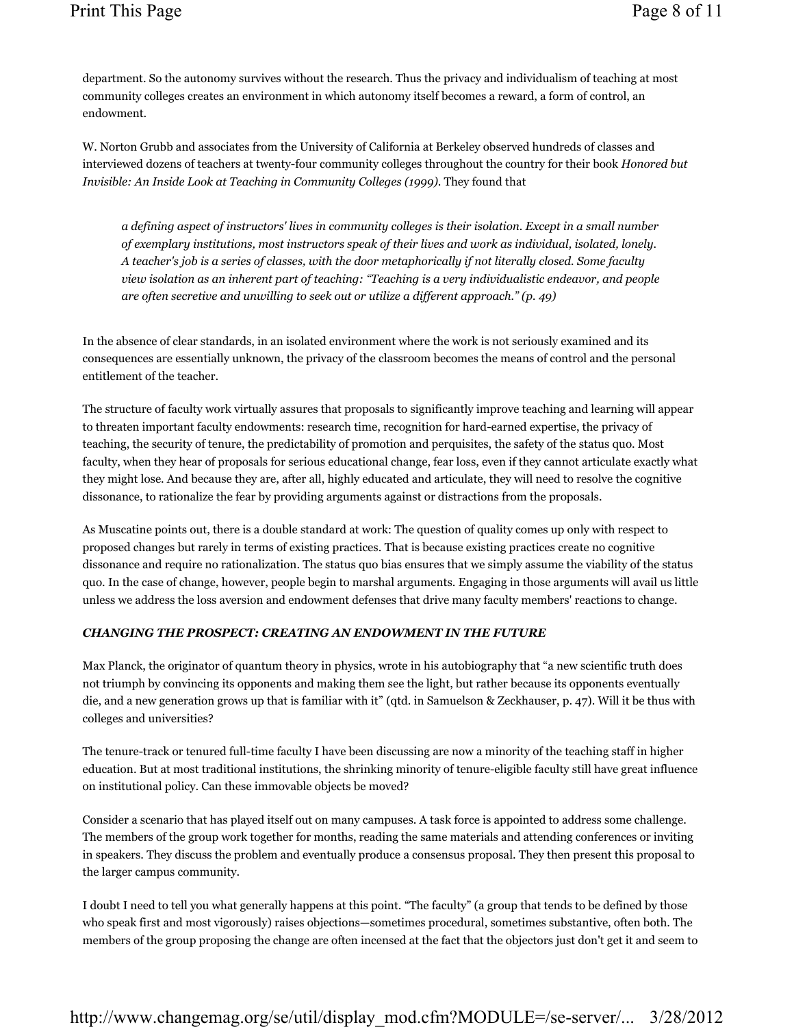department. So the autonomy survives without the research. Thus the privacy and individualism of teaching at most community colleges creates an environment in which autonomy itself becomes a reward, a form of control, an endowment.

W. Norton Grubb and associates from the University of California at Berkeley observed hundreds of classes and interviewed dozens of teachers at twenty-four community colleges throughout the country for their book *Honored but Invisible: An Inside Look at Teaching in Community Colleges (1999)*. They found that

*a defining aspect of instructors' lives in community colleges is their isolation. Except in a small number of exemplary institutions, most instructors speak of their lives and work as individual, isolated, lonely. A teacher's job is a series of classes, with the door metaphorically if not literally closed. Some faculty view isolation as an inherent part of teaching: "Teaching is a very individualistic endeavor, and people are often secretive and unwilling to seek out or utilize a different approach." (p. 49)*

In the absence of clear standards, in an isolated environment where the work is not seriously examined and its consequences are essentially unknown, the privacy of the classroom becomes the means of control and the personal entitlement of the teacher.

The structure of faculty work virtually assures that proposals to significantly improve teaching and learning will appear to threaten important faculty endowments: research time, recognition for hard-earned expertise, the privacy of teaching, the security of tenure, the predictability of promotion and perquisites, the safety of the status quo. Most faculty, when they hear of proposals for serious educational change, fear loss, even if they cannot articulate exactly what they might lose. And because they are, after all, highly educated and articulate, they will need to resolve the cognitive dissonance, to rationalize the fear by providing arguments against or distractions from the proposals.

As Muscatine points out, there is a double standard at work: The question of quality comes up only with respect to proposed changes but rarely in terms of existing practices. That is because existing practices create no cognitive dissonance and require no rationalization. The status quo bias ensures that we simply assume the viability of the status quo. In the case of change, however, people begin to marshal arguments. Engaging in those arguments will avail us little unless we address the loss aversion and endowment defenses that drive many faculty members' reactions to change.

# *CHANGING THE PROSPECT: CREATING AN ENDOWMENT IN THE FUTURE*

Max Planck, the originator of quantum theory in physics, wrote in his autobiography that "a new scientific truth does not triumph by convincing its opponents and making them see the light, but rather because its opponents eventually die, and a new generation grows up that is familiar with it" (qtd. in Samuelson & Zeckhauser, p. 47). Will it be thus with colleges and universities?

The tenure-track or tenured full-time faculty I have been discussing are now a minority of the teaching staff in higher education. But at most traditional institutions, the shrinking minority of tenure-eligible faculty still have great influence on institutional policy. Can these immovable objects be moved?

Consider a scenario that has played itself out on many campuses. A task force is appointed to address some challenge. The members of the group work together for months, reading the same materials and attending conferences or inviting in speakers. They discuss the problem and eventually produce a consensus proposal. They then present this proposal to the larger campus community.

I doubt I need to tell you what generally happens at this point. "The faculty" (a group that tends to be defined by those who speak first and most vigorously) raises objections—sometimes procedural, sometimes substantive, often both. The members of the group proposing the change are often incensed at the fact that the objectors just don't get it and seem to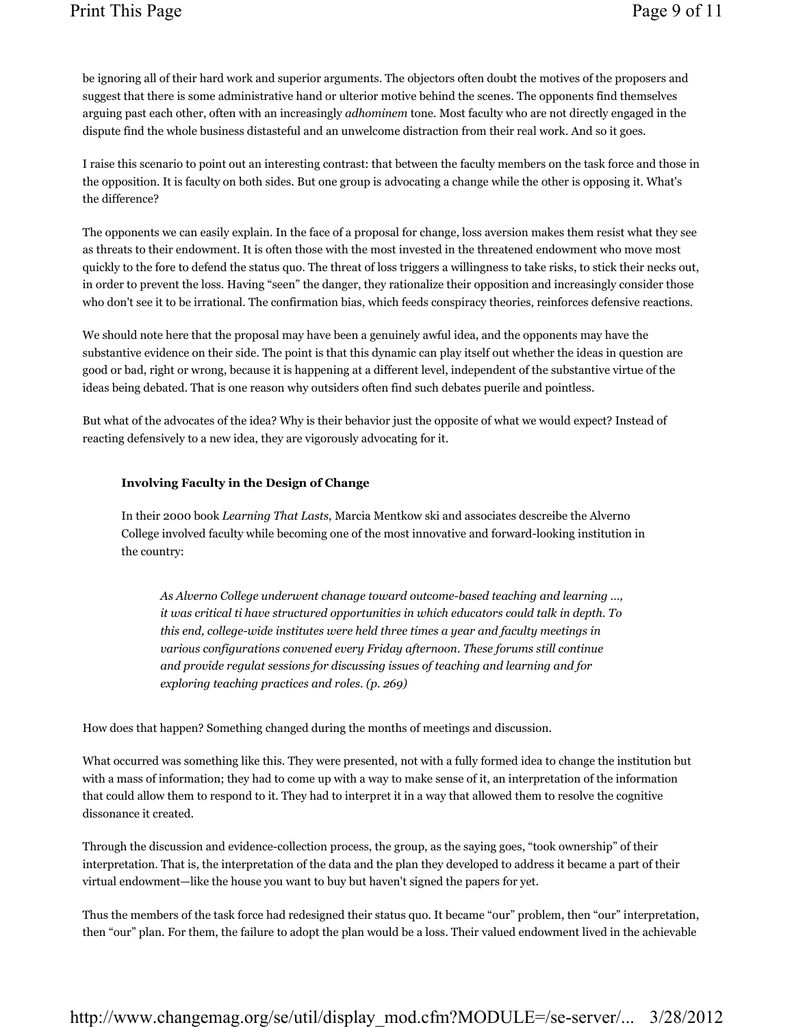be ignoring all of their hard work and superior arguments. The objectors often doubt the motives of the proposers and suggest that there is some administrative hand or ulterior motive behind the scenes. The opponents find themselves arguing past each other, often with an increasingly *adhominem* tone. Most faculty who are not directly engaged in the dispute find the whole business distasteful and an unwelcome distraction from their real work. And so it goes.

I raise this scenario to point out an interesting contrast: that between the faculty members on the task force and those in the opposition. It is faculty on both sides. But one group is advocating a change while the other is opposing it. What's the difference?

The opponents we can easily explain. In the face of a proposal for change, loss aversion makes them resist what they see as threats to their endowment. It is often those with the most invested in the threatened endowment who move most quickly to the fore to defend the status quo. The threat of loss triggers a willingness to take risks, to stick their necks out, in order to prevent the loss. Having "seen" the danger, they rationalize their opposition and increasingly consider those who don't see it to be irrational. The confirmation bias, which feeds conspiracy theories, reinforces defensive reactions.

We should note here that the proposal may have been a genuinely awful idea, and the opponents may have the substantive evidence on their side. The point is that this dynamic can play itself out whether the ideas in question are good or bad, right or wrong, because it is happening at a different level, independent of the substantive virtue of the ideas being debated. That is one reason why outsiders often find such debates puerile and pointless.

But what of the advocates of the idea? Why is their behavior just the opposite of what we would expect? Instead of reacting defensively to a new idea, they are vigorously advocating for it.

#### **Involving Faculty in the Design of Change**

In their 2000 book *Learning That Lasts*, Marcia Mentkow ski and associates descreibe the Alverno College involved faculty while becoming one of the most innovative and forward-looking institution in the country:

*As Alverno College underwent chanage toward outcome-based teaching and learning …, it was critical ti have structured opportunities in which educators could talk in depth. To this end, college-wide institutes were held three times a year and faculty meetings in various configurations convened every Friday afternoon. These forums still continue and provide regulat sessions for discussing issues of teaching and learning and for exploring teaching practices and roles. (p. 269)*

How does that happen? Something changed during the months of meetings and discussion.

What occurred was something like this. They were presented, not with a fully formed idea to change the institution but with a mass of information; they had to come up with a way to make sense of it, an interpretation of the information that could allow them to respond to it. They had to interpret it in a way that allowed them to resolve the cognitive dissonance it created.

Through the discussion and evidence-collection process, the group, as the saying goes, "took ownership" of their interpretation. That is, the interpretation of the data and the plan they developed to address it became a part of their virtual endowment—like the house you want to buy but haven't signed the papers for yet.

Thus the members of the task force had redesigned their status quo. It became "our" problem, then "our" interpretation, then "our" plan. For them, the failure to adopt the plan would be a loss. Their valued endowment lived in the achievable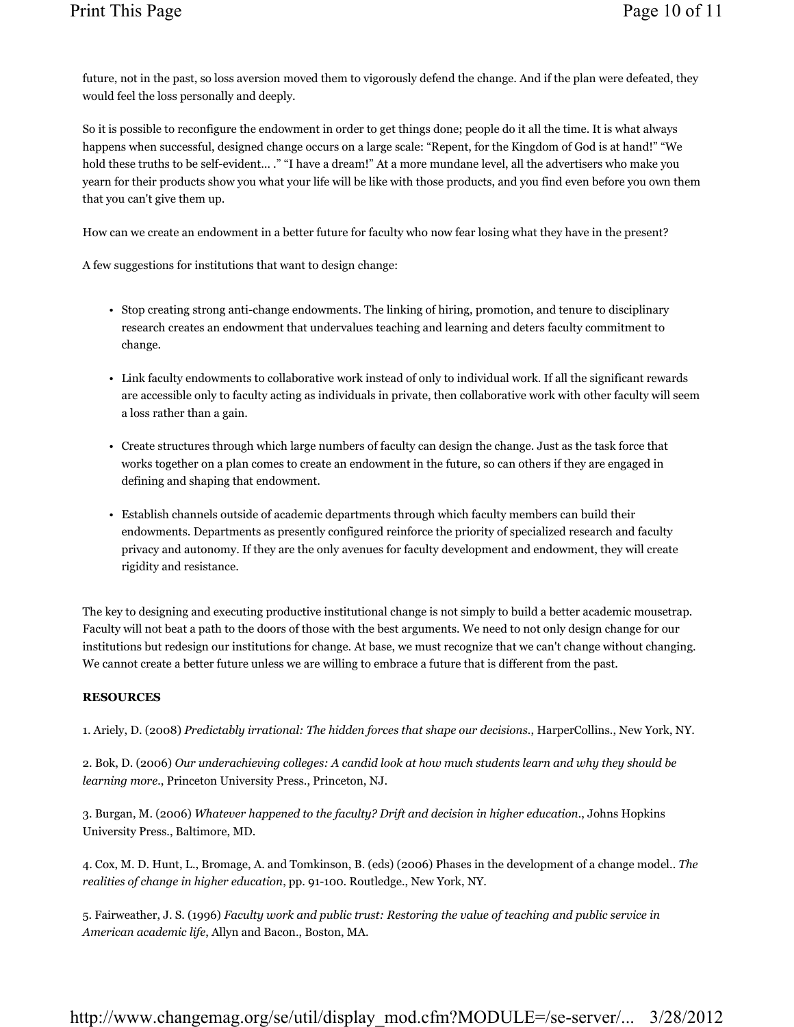future, not in the past, so loss aversion moved them to vigorously defend the change. And if the plan were defeated, they would feel the loss personally and deeply.

So it is possible to reconfigure the endowment in order to get things done; people do it all the time. It is what always happens when successful, designed change occurs on a large scale: "Repent, for the Kingdom of God is at hand!" "We hold these truths to be self-evident… ." "I have a dream!" At a more mundane level, all the advertisers who make you yearn for their products show you what your life will be like with those products, and you find even before you own them that you can't give them up.

How can we create an endowment in a better future for faculty who now fear losing what they have in the present?

A few suggestions for institutions that want to design change:

- Stop creating strong anti-change endowments. The linking of hiring, promotion, and tenure to disciplinary research creates an endowment that undervalues teaching and learning and deters faculty commitment to change.
- Link faculty endowments to collaborative work instead of only to individual work. If all the significant rewards are accessible only to faculty acting as individuals in private, then collaborative work with other faculty will seem a loss rather than a gain.
- Create structures through which large numbers of faculty can design the change. Just as the task force that works together on a plan comes to create an endowment in the future, so can others if they are engaged in defining and shaping that endowment.
- Establish channels outside of academic departments through which faculty members can build their endowments. Departments as presently configured reinforce the priority of specialized research and faculty privacy and autonomy. If they are the only avenues for faculty development and endowment, they will create rigidity and resistance.

The key to designing and executing productive institutional change is not simply to build a better academic mousetrap. Faculty will not beat a path to the doors of those with the best arguments. We need to not only design change for our institutions but redesign our institutions for change. At base, we must recognize that we can't change without changing. We cannot create a better future unless we are willing to embrace a future that is different from the past.

# **RESOURCES**

1. Ariely, D. (2008) *Predictably irrational: The hidden forces that shape our decisions.*, HarperCollins., New York, NY.

2. Bok, D. (2006) *Our underachieving colleges: A candid look at how much students learn and why they should be learning more.*, Princeton University Press., Princeton, NJ.

3. Burgan, M. (2006) *Whatever happened to the faculty? Drift and decision in higher education.*, Johns Hopkins University Press., Baltimore, MD.

4. Cox, M. D. Hunt, L., Bromage, A. and Tomkinson, B. (eds) (2006) Phases in the development of a change model.. *The realities of change in higher education*, pp. 91-100. Routledge., New York, NY.

5. Fairweather, J. S. (1996) *Faculty work and public trust: Restoring the value of teaching and public service in American academic life*, Allyn and Bacon., Boston, MA.